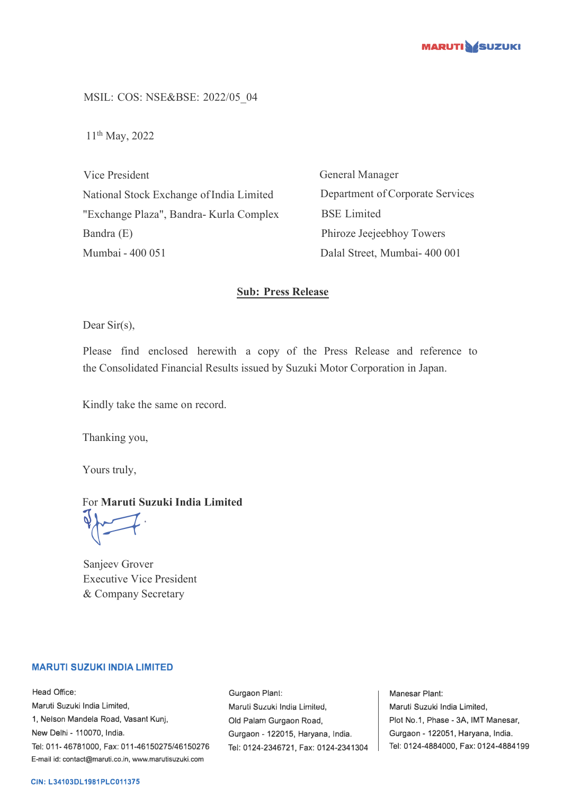

MSIL: COS: NSE&BSE: 2022/05\_04

11th May, 2022

Vice President National Stock Exchange of India Limited "Exchange Plaza", Bandra- Kurla Complex Bandra (E) Mumbai - 400 051

General Manager Department of Corporate Services BSE Limited Phiroze Jeejeebhoy Towers Dalal Street, Mumbai- 400 001

#### **Sub: Press Release**

Dear Sir(s),

Please find enclosed herewith a copy of the Press Release and reference to the Consolidated Financial Results issued by Suzuki Motor Corporation in Japan.

Kindly take the same on record.

Thanking you,

Yours truly,

#### For **Maruti Suzuki India Limited**

 $\sqrt{2}$ 

Sanjeev Grover Executive Vice President & Company Secretary

#### **MARUTI SUZUKI INDIA LIMITED**

Head Office: Maruti Suzuki India Limited, 1, Nelson Mandela Road, Vasant Kunj, New Delhi - 110070, India. Tel: 011-46781000, Fax: 011-46150275/46150276 E-mail id: contact@maruti.co.in, www.marutisuzuki.com

Gurgaon Plant: Maruli Suzuki India Lirniled, Old Palam Gurgaon Road, Gurgaon - 122015, Haryana, India. Tel: 0124-2346721, Fax: 0124-2341304

Manesar Plant: Maruti Suzuki India Limited, Plot No.1, Phase - 3A, IMT Manesar, Gurgaon - 122051, Haryana, India. Tel: 0124-4884000, Fax: 0124-4884199

#### **CIN: L34103DL1981PLC011375**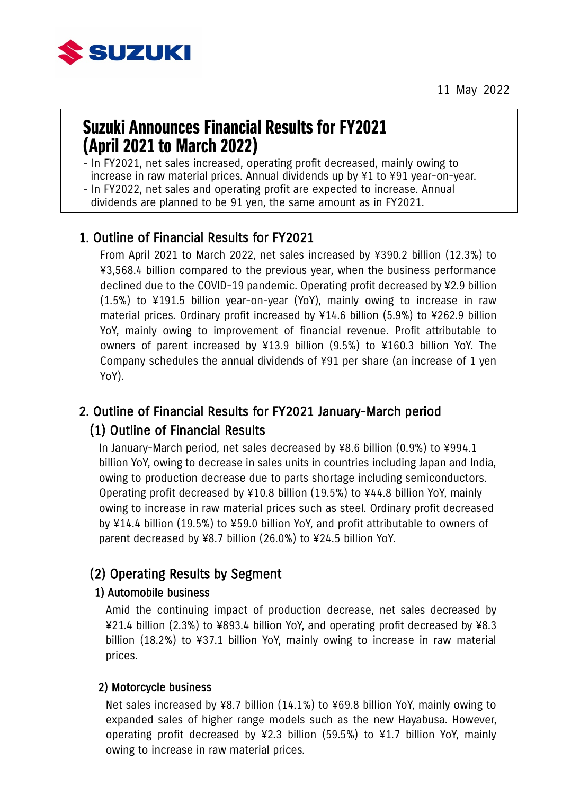

11 May 2022

# Suzuki Announces Financial Results for FY2021 (April 2021 to March 2022)

- In FY2021, net sales increased, operating profit decreased, mainly owing to increase in raw material prices. Annual dividends up by ¥1 to ¥91 year-on-year.

- In FY2022, net sales and operating profit are expected to increase. Annual

dividends are planned to be 91 yen, the same amount as in FY2021.

### 1. Outline of Financial Results for FY2021

From April 2021 to March 2022, net sales increased by ¥390.2 billion (12.3%) to ¥3,568.4 billion compared to the previous year, when the business performance declined due to the COVID-19 pandemic. Operating profit decreased by ¥2.9 billion (1.5%) to ¥191.5 billion year-on-year (YoY), mainly owing to increase in raw material prices. Ordinary profit increased by ¥14.6 billion (5.9%) to ¥262.9 billion YoY, mainly owing to improvement of financial revenue. Profit attributable to owners of parent increased by ¥13.9 billion (9.5%) to ¥160.3 billion YoY. The Company schedules the annual dividends of ¥91 per share (an increase of 1 yen YoY).

## 2. Outline of Financial Results for FY2021 January-March period (1) Outline of Financial Results

In January-March period, net sales decreased by ¥8.6 billion (0.9%) to ¥994.1 billion YoY, owing to decrease in sales units in countries including Japan and India, owing to production decrease due to parts shortage including semiconductors. Operating profit decreased by ¥10.8 billion (19.5%) to ¥44.8 billion YoY, mainly owing to increase in raw material prices such as steel. Ordinary profit decreased by ¥14.4 billion (19.5%) to ¥59.0 billion YoY, and profit attributable to owners of parent decreased by ¥8.7 billion (26.0%) to ¥24.5 billion YoY.

#### (2) Operating Results by Segment

#### 1) Automobile business

Amid the continuing impact of production decrease, net sales decreased by ¥21.4 billion (2.3%) to ¥893.4 billion YoY, and operating profit decreased by ¥8.3 billion (18.2%) to ¥37.1 billion YoY, mainly owing to increase in raw material prices.

#### 2) Motorcycle business

Net sales increased by ¥8.7 billion (14.1%) to ¥69.8 billion YoY, mainly owing to expanded sales of higher range models such as the new Hayabusa. However, operating profit decreased by ¥2.3 billion (59.5%) to ¥1.7 billion YoY, mainly owing to increase in raw material prices.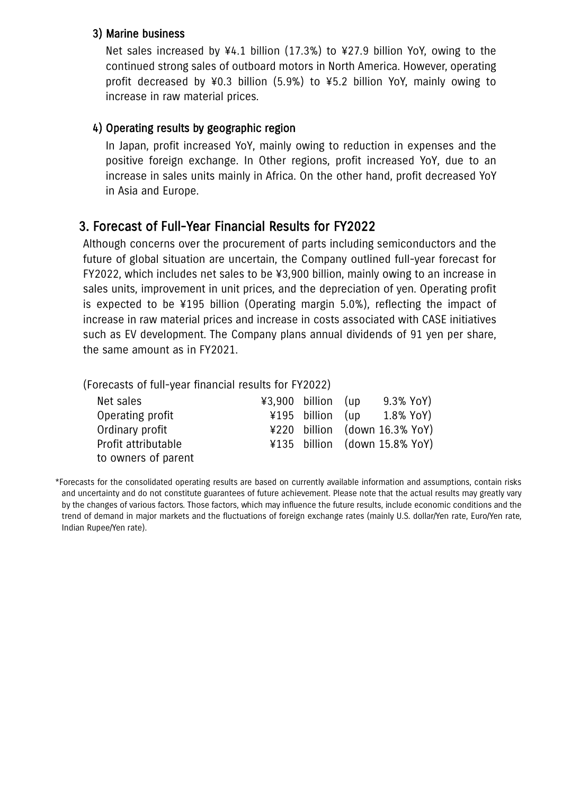#### 3) Marine business

Net sales increased by ¥4.1 billion (17.3%) to ¥27.9 billion YoY, owing to the continued strong sales of outboard motors in North America. However, operating profit decreased by ¥0.3 billion (5.9%) to ¥5.2 billion YoY, mainly owing to increase in raw material prices.

#### 4) Operating results by geographic region

In Japan, profit increased YoY, mainly owing to reduction in expenses and the positive foreign exchange. In Other regions, profit increased YoY, due to an increase in sales units mainly in Africa. On the other hand, profit decreased YoY in Asia and Europe.

### 3. Forecast of Full-Year Financial Results for FY2022

Although concerns over the procurement of parts including semiconductors and the future of global situation are uncertain, the Company outlined full-year forecast for FY2022, which includes net sales to be ¥3,900 billion, mainly owing to an increase in sales units, improvement in unit prices, and the depreciation of yen. Operating profit is expected to be ¥195 billion (Operating margin 5.0%), reflecting the impact of increase in raw material prices and increase in costs associated with CASE initiatives such as EV development. The Company plans annual dividends of 91 yen per share, the same amount as in FY2021.

(Forecasts of full-year financial results for FY2022)

| Net sales           | $43,900$ billion (up | 9.3% YoY)                     |
|---------------------|----------------------|-------------------------------|
| Operating profit    | ¥195 billion (up     | 1.8% YoY)                     |
| Ordinary profit     |                      | ¥220 billion (down 16.3% YoY) |
| Profit attributable |                      | ¥135 billion (down 15.8% YoY) |
| to owners of parent |                      |                               |

<sup>-</sup>orecasts for the consolidated operating results are based on currently available information and assumptions, contain risks<br>and uncertainty and do not constitute guarantees of future achievement. Please note that the actu trend or demand in ma<br>Indian Rupee/Yen rate). \*Forecasts for the consolidated operating results are based on currently available information and assumptions, contain risks by the changes of various factors. Those factors, which may influence the future results, include economic conditions and the trend of demand in major markets and the fluctuations of foreign exchange rates (mainly U.S. dollar/Yen rate, Euro/Yen rate,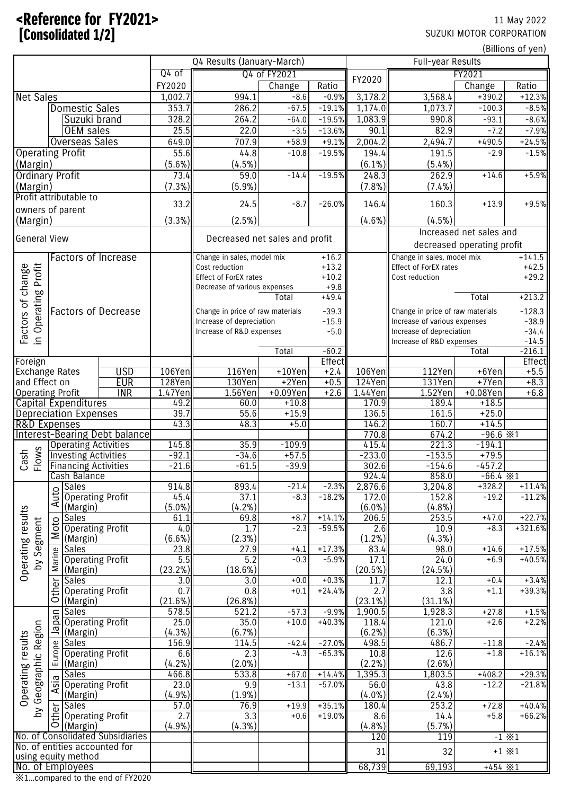## $\blacktriangle$ Reference for FY2021> 11 May 2022 **Exponential Consolidated 1/2] SUZUKI MOTOR CORPORATION**

|                                        |                         |                                             |                                      |                   | Q4 Results (January-March)       |                    |                      | Full-year Results        |                                                      |                            |                      |
|----------------------------------------|-------------------------|---------------------------------------------|--------------------------------------|-------------------|----------------------------------|--------------------|----------------------|--------------------------|------------------------------------------------------|----------------------------|----------------------|
|                                        |                         |                                             | Q4 of                                |                   | Q4 of FY2021                     |                    | FY2020               |                          | FY2021                                               |                            |                      |
|                                        |                         |                                             |                                      | FY2020            |                                  | Change             | Ratio                |                          |                                                      | Change                     | Ratio                |
| <b>Net Sales</b>                       |                         |                                             |                                      | 1,002.7           | 994.1                            | $-8.6$             | $-0.9%$              | 3,178.2                  | 3,568.4                                              | $+390.2$                   | $+12.3%$             |
| <b>Domestic Sales</b><br>Suzuki brand  |                         |                                             | 353.7                                | 286.2             | $-67.5$                          | $-19.1%$           | 1,174.0              | 1,073.7                  | $-100.3$                                             | $-8.5%$                    |                      |
|                                        |                         |                                             |                                      | 328.2             | 264.2                            | $-64.0$            | $-19.5%$             | 1,083.9                  | 990.8                                                | $-93.1$                    | $-8.6%$              |
| OEM sales<br><b>Overseas Sales</b>     |                         | 25.5                                        | 22.0                                 | $-3.5$            | $-13.6%$                         | 90.1               | 82.9                 | $-7.2$                   | $-7.9%$                                              |                            |                      |
|                                        |                         |                                             |                                      | 649.0             | 707.9                            | $+58.9$            | $+9.1%$              | 2,004.2                  | 2,494.7                                              | $+490.5$                   | $+24.5%$             |
| <b>Operating Profit</b>                |                         |                                             |                                      | 55.6<br>(5.6%)    | 44.8<br>(4.5%)                   | $-10.8$            | $-19.5%$             | 194.4                    | 191.5                                                | $-2.9$                     | $-1.5%$              |
| (Margin)<br><b>Ordinary Profit</b>     |                         |                                             |                                      | 73.4              | 59.0                             | $-14.4$            | $-19.5%$             | $(6.1\%)$<br>248.3       | $(5.4\%)$<br>262.9                                   | $+14.6$                    | $+5.9%$              |
| (Margin)                               |                         |                                             |                                      | (7.3%)            | (5.9%)                           |                    |                      | (7.8% )                  | $(7.4\%)$                                            |                            |                      |
|                                        |                         | Profit attributable to                      |                                      |                   |                                  |                    |                      |                          |                                                      |                            |                      |
| owners of parent                       |                         |                                             |                                      | 33.2              | 24.5                             | $-8.7$             | $-26.0%$             | 146.4                    | 160.3                                                | $+13.9$                    | $+9.5%$              |
| (Margin)                               |                         |                                             |                                      | (3.3%)            | (2.5%)                           |                    |                      | (4.6%)                   | (4.5%)                                               |                            |                      |
|                                        |                         |                                             |                                      |                   |                                  |                    |                      |                          |                                                      | Increased net sales and    |                      |
| <b>General View</b>                    |                         |                                             |                                      |                   | Decreased net sales and profit   |                    |                      |                          |                                                      | decreased operating profit |                      |
|                                        |                         |                                             | <b>Factors of Increase</b>           |                   | Change in sales, model mix       |                    | $+16.2$              |                          | Change in sales, model mix                           |                            | $+141.5$             |
|                                        |                         |                                             |                                      |                   | Cost reduction                   |                    | $+13.2$              |                          | Effect of ForEX rates                                |                            | $+42.5$              |
|                                        |                         |                                             |                                      |                   | Effect of ForEX rates            |                    | $+10.2$              |                          | Cost reduction                                       |                            | $+29.2$              |
| change                                 |                         |                                             |                                      |                   | Decrease of various expenses     |                    | $+9.8$               |                          |                                                      |                            |                      |
| <b>Operating Profit</b>                |                         |                                             |                                      |                   |                                  | Total              | $+49.4$              |                          |                                                      | Total                      | $+213.2$             |
| Factors of                             |                         |                                             | <b>Factors of Decrease</b>           |                   | Change in price of raw materials |                    | $-39.3$              |                          | Change in price of raw materials                     |                            | $-128.3$             |
|                                        |                         |                                             |                                      |                   | Increase of depreciation         |                    | $-15.9$              |                          | Increase of various expenses                         |                            | $-38.9$              |
| $\equiv$                               |                         |                                             |                                      |                   | Increase of R&D expenses         |                    | $-5.0$               |                          | Increase of depreciation<br>Increase of R&D expenses |                            | $-34.4$<br>$-14.5$   |
|                                        |                         |                                             |                                      |                   |                                  | Total              | $-60.2$              |                          |                                                      | Total                      | $-216.1$             |
| Foreign                                |                         |                                             |                                      |                   |                                  |                    | Effect               |                          |                                                      |                            | Effect               |
| <b>Exchange Rates</b>                  |                         |                                             | <b>USD</b>                           | 106Yen            | 116Yen                           | $+10$ Yen          | $+2.4$               | 106Yen                   | 112Yen                                               | +6Yen                      | $+5.5$               |
| and Effect on                          |                         |                                             | <b>EUR</b>                           | 128Yen            | 130Yen                           | $+2$ Yen           | $+0.5$               | 124Yen                   | 131Yen                                               | $+7$ Yen                   | $+8.3$               |
| <b>Operating Profit</b>                |                         |                                             | $\overline{\text{INR}}$              | 1.47Yen           | 1.56Yen                          | $+0.09Yen$         | $+2.6$               | 1.44Yen                  | 1.52Yen                                              | $+0.08$ Yen                | $+6.8$               |
|                                        |                         | Capital Expenditures                        |                                      | 49.2<br>39.7      | 60.0<br>55.6                     | $+10.8$<br>$+15.9$ |                      | 170.9                    | 189.4<br>161.5                                       | $+18.5$<br>$+25.0$         |                      |
| <b>R&amp;D Expenses</b>                |                         | <b>Depreciation Expenses</b>                |                                      | 43.3              | 48.3                             | $+5.0$             |                      | 136.5<br>146.2           | 160.7                                                | $+14.5$                    |                      |
|                                        |                         |                                             | <b>Interest-Bearing Debt balance</b> |                   |                                  |                    |                      | 770.8                    | 674.2                                                | $-96.6$ $\times 1$         |                      |
|                                        |                         | <b>Operating Activities</b>                 |                                      | 145.8             | 35.9                             | $-109.9$           |                      | 415.4                    | 221.3                                                | $-194.1$                   |                      |
| Flows<br>Cash                          |                         | <b>Investing Activities</b>                 |                                      | $-92.1$           | $-34.6$                          | $+57.5$            |                      | $-233.0$                 | $-153.5$                                             | $+79.5$                    |                      |
|                                        |                         | <b>Financing Activities</b>                 |                                      | $-21.6$           | $-61.5$                          | $-39.9$            |                      | 302.6                    | $-154.6$                                             | $-457.2$                   |                      |
|                                        |                         | Cash Balance                                |                                      |                   |                                  |                    |                      | 924.4                    | 858.0                                                | $-66.4$ $\times 1$         |                      |
|                                        |                         | <b>Sales</b>                                |                                      | 914.8             | 893.4                            | $-21.4$            | $-2.3%$              | 2,876.6                  | 3,204.8                                              | $+328.2$                   | $+11.4%$             |
|                                        | Auto                    | <b>Operating Profit</b><br>(Margin)         |                                      | 45.4<br>$(5.0\%)$ | 37.1<br>(4.2%)                   | $-8.3$             | $-18.2%$             | 172.0<br>$(6.0\%)$       | 152.8<br>(4.8%)                                      | $-19.2$                    | $-11.2%$             |
|                                        |                         | <b>Sales</b>                                |                                      | 61.1              | 69.8                             | $+8.7$             | $+14.1%$             | 206.5                    | 253.5                                                | $+47.0$                    | $+22.7%$             |
|                                        | Moto                    | <b>Operating Profit</b>                     |                                      | 4.0               | 1.7                              | $-2.3$             | $-59.5%$             | 2.6                      | 10.9                                                 | $+8.3$                     | $+321.6%$            |
|                                        |                         | (Margin)                                    |                                      | (6.6%)            | (2.3%)                           |                    |                      | (1.2%)                   | (4.3%)                                               |                            |                      |
| Operating results<br>by Segment        |                         | Sales                                       |                                      | 23.8              | 27.9                             | $+4.1$             | $+17.3%$             | 83.4                     | 98.0                                                 | $+14.6$                    | $+17.5%$             |
|                                        | Marine                  | <b>Operating Profit</b>                     |                                      | 5.5               | $\overline{5.2}$                 | $-0.3$             | $-5.9%$              | 17.1                     | 24.0                                                 | $+6.9$                     | $+40.5%$             |
|                                        |                         | (Margin)                                    |                                      | (23.2%)           | (18.6%)                          |                    |                      | (20.5%)                  | (24.5%)                                              |                            |                      |
|                                        | $\overline{\mathbf{e}}$ | <b>Sales</b><br><b>Operating Profit</b>     |                                      | 3.0<br>0.7        | 3.0<br>0.8                       | $+0.0$<br>$+0.1$   | $+0.3%$<br>$+24.4%$  | 11.7<br>$\overline{2.7}$ | 12.1<br>$\overline{3.8}$                             | $+0.4$<br>$+1.1$           | $+3.4%$<br>$+39.3%$  |
|                                        | $\overline{C}$          | (Margin)                                    |                                      | (21.6%)           | (26.8%)                          |                    |                      | (23.1%)                  | (31.1%)                                              |                            |                      |
|                                        |                         | Sales                                       |                                      | 578.5             | 521.2                            | $-57.3$            | $-9.9%$              | 1,900.5                  | 1,928.3                                              | $+27.8$                    | $+1.5%$              |
|                                        |                         | 등 Sales<br>음 Operating Profit<br>흑 (Margin) |                                      | 25.0              | 35.0                             | $+10.0$            | $+40.3%$             | 118.4                    | 121.0                                                | $+2.6$                     | $+2.2%$              |
|                                        |                         | (Margin)                                    |                                      | (4.3%)            | (6.7%)                           |                    |                      | (6.2%)                   | (6.3%)                                               |                            |                      |
|                                        |                         | a Sales<br>Operating<br>(Margin)            |                                      | 156.9             | 114.5                            | $-42.4$            | $-27.0%$             | 498.5                    | 486.7                                                | $-11.8$                    | $-2.4%$              |
|                                        |                         | <b>Operating Profit</b>                     |                                      | 6.6               | 2.3                              | $-4.3$             | $-65.3%$             | 10.8                     | 12.6                                                 | $+1.8$                     | $+16.1%$             |
|                                        |                         |                                             |                                      | (4.2%)            | $(2.0\%)$                        |                    |                      | (2.2%)                   | (2.6%)                                               |                            |                      |
| Geographic Region<br>Operating results |                         | Sales<br>$\frac{100}{2}$ Operating Profit   |                                      | 466.8<br>23.0     | 533.8<br>9.9                     | $+67.0$<br>$-13.1$ | $+14.4%$<br>$-57.0%$ | 1,395.3<br>56.0          | 1,803.5<br>43.8                                      | $+408.2$<br>$-12.2$        | $+29.3%$<br>$-21.8%$ |
|                                        |                         | (Margin)                                    |                                      | (4.9%)            | $(1.9\%)$                        |                    |                      | $(4.0\%)$                | (2.4% )                                              |                            |                      |
|                                        |                         | Sales                                       |                                      | 57.0              | 76.9                             | $+19.9$            | $+35.1%$             | 180.4                    | 253.2                                                | $+72.8$                    | $+40.4%$             |
| Σď                                     |                         | b Sales<br>Operating Profit<br>O (Margin)   |                                      | 2.7               | $\overline{3.3}$                 | $+0.6$             | $+19.0%$             | 8.6                      | 14.4                                                 | $+5.8$                     | $+66.2%$             |
|                                        |                         | (Margin)                                    |                                      | (4.9%)            | (4.3%)                           |                    |                      | (4.8%)                   | (5.7%)                                               |                            |                      |
|                                        |                         |                                             | No. of Consolidated Subsidiaries     |                   |                                  |                    |                      | 120                      | 119                                                  |                            | $-1 \times 1$        |
|                                        |                         | No. of entities accounted for               |                                      |                   |                                  |                    |                      | 31                       | 32                                                   |                            | $+1 \times 1$        |
| No. of Employees                       |                         | using equity method                         |                                      |                   |                                  |                    |                      | 68,739                   | 69,193                                               | $+454$ $\times 1$          |                      |
|                                        |                         |                                             | *1compared to the end of FY2020      |                   |                                  |                    |                      |                          |                                                      |                            |                      |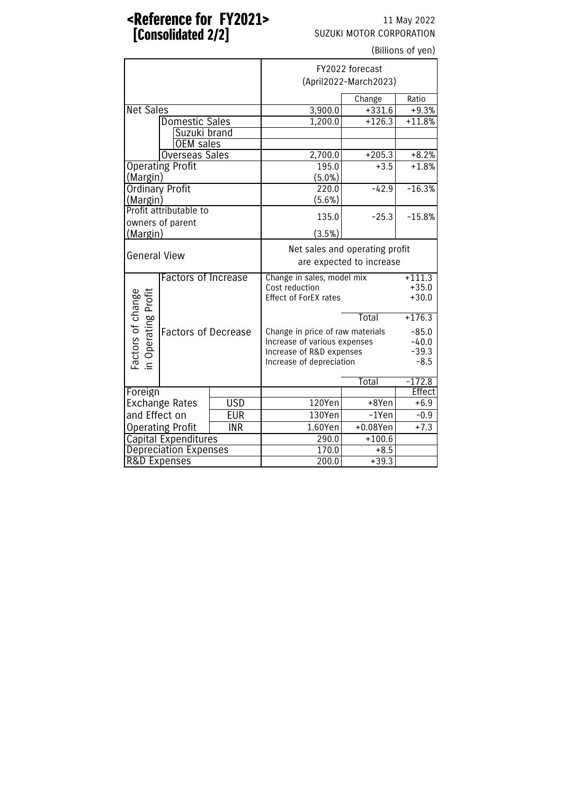#### <Reference for FY2021> 11 May 2022 **[Consolidated 2/2]** SUZUKI MOTOR CORPORATION

| (Billions of yen)                        |                              |            |                                  |                                |               |  |  |  |
|------------------------------------------|------------------------------|------------|----------------------------------|--------------------------------|---------------|--|--|--|
|                                          |                              |            | FY2022 forecast                  |                                |               |  |  |  |
|                                          |                              |            | (April2022-March2023)            |                                |               |  |  |  |
|                                          |                              |            |                                  | Change                         | Ratio         |  |  |  |
| <b>Net Sales</b>                         |                              |            | 3,900.0                          | $+331.6$                       | $+9.3%$       |  |  |  |
|                                          | <b>Domestic Sales</b>        |            | 1,200.0                          | $+126.3$                       | $+11.8%$      |  |  |  |
|                                          | Suzuki brand                 |            |                                  |                                |               |  |  |  |
|                                          | OEM sales                    |            |                                  |                                |               |  |  |  |
|                                          | <b>Overseas Sales</b>        |            | 2,700.0                          | $+205.3$                       | $+8.2%$       |  |  |  |
|                                          | <b>Operating Profit</b>      |            | 195.0                            | $+3.5$                         | $+1.8%$       |  |  |  |
| (Margin)                                 |                              |            | $(5.0\%)$                        |                                |               |  |  |  |
|                                          | Ordinary Profit              |            | 220.0                            | $-42.9$                        | $-16.3%$      |  |  |  |
| (Margin)                                 |                              |            | (5.6%)                           |                                |               |  |  |  |
|                                          | Profit attributable to       |            | 135.0                            | $-25.3$                        | $-15.8%$      |  |  |  |
| (Margin)                                 | owners of parent             |            | (3.5%)                           |                                |               |  |  |  |
|                                          |                              |            |                                  | Net sales and operating profit |               |  |  |  |
| <b>General View</b>                      |                              |            | are expected to increase         |                                |               |  |  |  |
|                                          | <b>Factors of Increase</b>   |            | Change in sales, model mix       | $+111.3$                       |               |  |  |  |
|                                          |                              |            | Cost reduction                   | $+35.0$                        |               |  |  |  |
|                                          |                              |            | <b>Effect of ForEX rates</b>     | $+30.0$                        |               |  |  |  |
| Factors of change<br>in Operating Profit |                              |            |                                  | Total                          | $+176.3$      |  |  |  |
|                                          | <b>Factors of Decrease</b>   |            | Change in price of raw materials |                                | $-85.0$       |  |  |  |
|                                          |                              |            | Increase of various expenses     |                                | $-40.0$       |  |  |  |
|                                          |                              |            | Increase of R&D expenses         | $-39.3$                        |               |  |  |  |
|                                          |                              |            | Increase of depreciation         |                                | $-8.5$        |  |  |  |
|                                          |                              |            | Total<br>$-172.8$                |                                |               |  |  |  |
| Foreign                                  |                              |            |                                  |                                | <b>Effect</b> |  |  |  |
| <b>USD</b><br><b>Exchange Rates</b>      |                              | 120Yen     | +8Yen                            | $+6.9$                         |               |  |  |  |
| and Effect on<br><b>EUR</b>              |                              | 130Yen     | $-1$ Yen                         | $-0.9$                         |               |  |  |  |
|                                          | <b>Operating Profit</b>      | <b>INR</b> | 1.60Yen                          | $+0.08$ Yen                    | $+7.3$        |  |  |  |
|                                          | <b>Capital Expenditures</b>  |            | 290.0                            | $+100.6$                       |               |  |  |  |
|                                          | <b>Depreciation Expenses</b> |            | 170.0                            | $+8.5$                         |               |  |  |  |
| R&D Expenses                             |                              |            | 200.0                            | $+39.3$                        |               |  |  |  |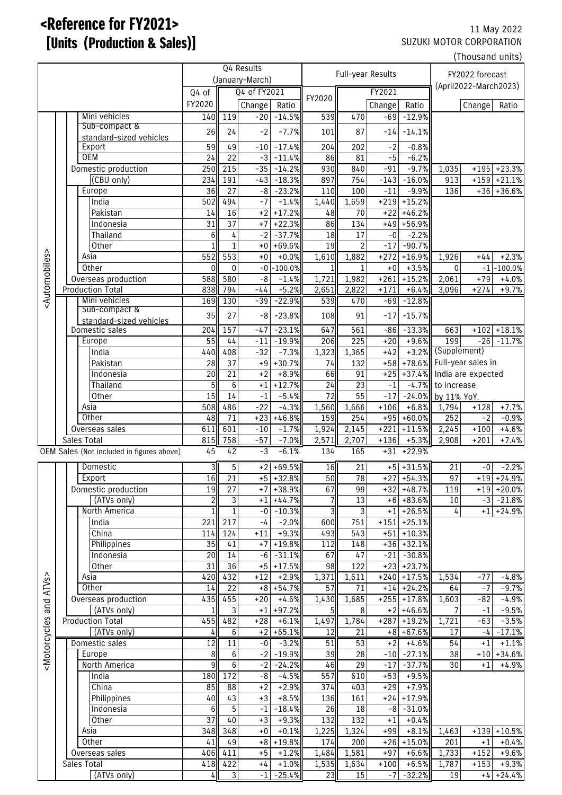## <Reference for FY2021> 11 May 2022 **[Units (Production & Sales)]** SUZUKI MOTOR CORPORATION

(Thousand units)

|                                                                                                                                                                                                                                                                       |             | Q4 Results                                |                       |                      | Full-year Results     |                         |                       |                       | FY2022 forecast |                             |                           |        |                         |
|-----------------------------------------------------------------------------------------------------------------------------------------------------------------------------------------------------------------------------------------------------------------------|-------------|-------------------------------------------|-----------------------|----------------------|-----------------------|-------------------------|-----------------------|-----------------------|-----------------|-----------------------------|---------------------------|--------|-------------------------|
|                                                                                                                                                                                                                                                                       |             | (January-March)                           |                       |                      |                       |                         | (April2022-March2023) |                       |                 |                             |                           |        |                         |
|                                                                                                                                                                                                                                                                       |             |                                           | Q4 of FY2021<br>Q4 of |                      |                       |                         | FY2021                |                       |                 |                             |                           |        |                         |
|                                                                                                                                                                                                                                                                       |             |                                           | FY2020                |                      | Change                | Ratio                   | FY2020                |                       | Change          | Ratio                       |                           | Change | Ratio                   |
|                                                                                                                                                                                                                                                                       |             | Mini vehicles                             | 140                   | 119                  | $-20$                 | $-14.5%$                | 539                   | 470                   | $-69$           | $-12.9%$                    |                           |        |                         |
|                                                                                                                                                                                                                                                                       |             | Sub-compact &                             |                       |                      |                       |                         |                       |                       |                 |                             |                           |        |                         |
|                                                                                                                                                                                                                                                                       |             | standard-sized vehicles                   | 26                    | 24                   | $-2$                  | $-7.7%$                 | 101                   | 87                    | $-14$           | $-14.1%$                    |                           |        |                         |
|                                                                                                                                                                                                                                                                       |             | Export                                    | 59                    | 49                   | $-10$                 | $-17.4%$                | 204                   | 202                   | $-2$            | $-0.8%$                     |                           |        |                         |
|                                                                                                                                                                                                                                                                       |             | <b>OEM</b>                                | 24                    | $\overline{22}$      | $-3$                  | $-11.4%$                | 86                    | 81                    | $-5$            | $-6.2%$                     |                           |        |                         |
|                                                                                                                                                                                                                                                                       |             | Domestic production                       | 250                   | 215                  | $-35$                 | $-14.2%$                | 930                   | 840                   | $-91$           | $-9.7%$                     | 1,035                     | $+195$ | $+23.3%$                |
|                                                                                                                                                                                                                                                                       |             | (CBU only)                                | 234                   | 191                  | $-43$                 | $-18.3%$                | 897                   | 754                   | $-143$          | $-16.0%$                    | 913                       | $+159$ | $+21.1%$                |
|                                                                                                                                                                                                                                                                       |             | Europe                                    | 36                    | 27                   | $-8$                  | $-23.2%$                | 110                   | 100                   | $-11$           | $-9.9%$                     | 136                       |        | $+36$ + 36.6%           |
|                                                                                                                                                                                                                                                                       |             | India                                     | 502                   | 494                  | $-7$                  | $-1.4%$                 | 1,440                 | 1,659                 | $+219$          | $+15.2%$                    |                           |        |                         |
|                                                                                                                                                                                                                                                                       |             | Pakistan                                  | 14                    | 16                   | $+2$                  | $+17.2%$                | 48                    | 70                    | $+22$           | $+46.2%$                    |                           |        |                         |
|                                                                                                                                                                                                                                                                       |             | Indonesia                                 | 31                    | $\overline{37}$      | $+7$                  | $+22.3%$                | 86                    | 134                   | $+49$           | $+56.9%$                    |                           |        |                         |
|                                                                                                                                                                                                                                                                       |             | Thailand                                  | $6 \overline{6}$      | $\sqrt{4}$           | $-2$                  | $-37.7%$                | 18                    | 17                    | $\hbox{-}0$     | $-2.2%$                     |                           |        |                         |
|                                                                                                                                                                                                                                                                       |             | Other                                     |                       | $\overline{1}$       | $+0$                  | $+69.6%$                | 19                    | $\overline{2}$        | $-17$           | $-90.7%$                    |                           |        |                         |
|                                                                                                                                                                                                                                                                       |             | Asia                                      | 552                   | 553                  | $\pm 0$               | $+0.0%$                 | 1,610                 | 1,882                 | $+272$          | $+16.9%$                    | 1,926                     | $+44$  | $+2.3%$                 |
| <automobiles></automobiles>                                                                                                                                                                                                                                           |             |                                           |                       |                      |                       | $-0$ $-100.0%$          |                       |                       | $+0$            |                             |                           |        | $-1$ $-100.0\%$         |
|                                                                                                                                                                                                                                                                       |             | Other                                     | $\Omega$              | $\mathbf 0$          |                       |                         | $\mathbf{1}$          | $\mathbf{1}$          |                 | $+3.5%$                     | $\mathbf 0$               |        |                         |
|                                                                                                                                                                                                                                                                       |             | Overseas production                       | 588                   | 580                  | $-8$                  | $-1.4%$                 | 1,721                 | 1,982                 | $+261$          | $+15.2%$                    | 2,061                     | $+79$  | $+4.0%$                 |
|                                                                                                                                                                                                                                                                       |             | <b>Production Total</b>                   | 838                   | 794                  | $-44$                 | $-5.2%$                 | 2,651                 | 2,822                 | $+171$          | $+6.4%$                     | 3,096                     | $+274$ | $+9.7%$                 |
|                                                                                                                                                                                                                                                                       |             | Mini vehicles                             | 169                   | 130                  | $-39$                 | $-22.9%$                | 539                   | 470                   | $-69$           | $-12.8%$                    |                           |        |                         |
|                                                                                                                                                                                                                                                                       |             | Sub-compact &                             | 35                    | 27                   | $-8$                  | $-23.8%$                | 108                   | 91                    | $-17$           | $-15.7%$                    |                           |        |                         |
|                                                                                                                                                                                                                                                                       |             | standard-sized vehicles<br>Domestic sales | 204                   | 157                  | $-47$                 | $-23.1%$                | 647                   | 561                   | $-86$           | $-13.3%$                    | 663                       | $+102$ | $+18.1%$                |
|                                                                                                                                                                                                                                                                       |             | Europe                                    | 55                    | 44                   | $-11$                 | $-19.9%$                | 206                   | 225                   | $+20$           | $+9.6%$                     | 199                       |        | $-26$ $-11.7%$          |
|                                                                                                                                                                                                                                                                       |             | India                                     |                       | 408                  | $-32$                 | $-7.3%$                 |                       | 1,365                 | $+42$           |                             | +3.2% (Supplement)        |        |                         |
|                                                                                                                                                                                                                                                                       |             |                                           | 440                   |                      |                       |                         | 1,323                 |                       |                 |                             | +78.6% Full-year sales in |        |                         |
|                                                                                                                                                                                                                                                                       |             | Pakistan                                  | 28                    | 37                   | $+9$                  | $+30.7%$                | 74                    | 132                   | $+58$           |                             |                           |        |                         |
|                                                                                                                                                                                                                                                                       |             | Indonesia                                 | 20                    | 21                   | $+2$                  | $+8.9%$                 | 66                    | 91                    | $+25$           |                             | +37.4% India are expected |        |                         |
|                                                                                                                                                                                                                                                                       |             | Thailand                                  | 5 <sub>l</sub>        | $\,6\,$              | $+1$                  | $+12.7%$                | 24                    | 23                    | $-1$            |                             | $-4.7%$ to increase       |        |                         |
|                                                                                                                                                                                                                                                                       |             | Other                                     | 15                    | $\overline{14}$      | $-1$                  | $-5.4%$                 | $\overline{72}$       | $\overline{55}$       | $-17$           |                             | $-24.0\%$ by 11% YoY.     |        |                         |
|                                                                                                                                                                                                                                                                       |             | Asia                                      | 508                   | 486                  | $-22$                 | $-4.3%$                 | 1,560                 | 1,666                 | $+106$          | $+6.8%$                     | 1,794                     | $+128$ | $+7.7%$                 |
|                                                                                                                                                                                                                                                                       |             | Other                                     | 48                    | 71                   | $+23$                 | $+46.8%$                | 159                   | 254                   | $+95$           | $+60.0%$                    | $\overline{252}$          | $-2$   | $-0.9%$                 |
|                                                                                                                                                                                                                                                                       |             | Overseas sales                            | 611                   | 601                  | $-10$                 | $-1.7%$                 | 1,924                 | 2,145                 | $+221$          | $+11.5%$                    | 2,245                     | $+100$ | $+4.6%$                 |
|                                                                                                                                                                                                                                                                       | Sales Total |                                           | 815                   | 758                  | $-57$                 | $-7.0%$                 | 2,571                 | 2,707                 | $+136$          | $+5.3%$                     | 2,908                     | $+201$ | $+7.4%$                 |
|                                                                                                                                                                                                                                                                       |             | OEM Sales (Not included in figures above) | 45                    | 42                   | $-3$                  | $-6.1%$                 | 134                   | 165                   |                 | $+31$ $+22.9%$              |                           |        |                         |
|                                                                                                                                                                                                                                                                       |             |                                           |                       |                      |                       |                         |                       |                       |                 |                             |                           |        |                         |
|                                                                                                                                                                                                                                                                       |             | Domestic                                  | 3<br>16               | 5<br>$\overline{21}$ | $+2$                  | $+69.5%$<br>$+5$ +32.8% | 16<br>50              | 21<br>$\overline{78}$ |                 | $+5$ +31.5%<br>$+27$ +54.3% | 21<br>$\overline{97}$     | -0     | $-2.2%$<br>$+19$ +24.9% |
|                                                                                                                                                                                                                                                                       |             | Export                                    |                       |                      |                       |                         |                       |                       |                 |                             |                           |        |                         |
|                                                                                                                                                                                                                                                                       |             | Domestic production                       | 19                    | 27                   |                       | $+7$ + 38.9%            | 67                    | 99                    |                 | $+32 + 48.7%$               | 119                       |        | $+19$ +20.0%            |
|                                                                                                                                                                                                                                                                       |             | (ATVs only)                               | $\overline{c}$        | 3                    |                       | $+1$ +44.7%             | $\overline{7}$        | 13                    |                 | $+6$ +83.6%                 | $10\,$                    | $-3$   | $-21.8%$                |
|                                                                                                                                                                                                                                                                       |             | North America                             | $\mathbf{1}$          | $\overline{1}$       |                       | $-0$ $-10.3%$           | 3                     | $\overline{3}$        |                 | $+1$ +26.5%                 | 4                         |        | $+1$ +24.9%             |
|                                                                                                                                                                                                                                                                       |             | India                                     | 221                   | 217                  | $-4$                  | $-2.0%$                 | 600                   | 751                   | $+151$          | $+25.1%$                    |                           |        |                         |
|                                                                                                                                                                                                                                                                       |             | China                                     | 114                   | 124                  | $+11$                 | $+9.3%$                 | 493                   | 543                   | $+51$           | $+10.3%$                    |                           |        |                         |
|                                                                                                                                                                                                                                                                       |             | Philippines                               | 35                    | 41                   | $+7$                  | $+19.8%$                | 112                   | 148                   |                 | $+36$ +32.1%                |                           |        |                         |
|                                                                                                                                                                                                                                                                       |             | Indonesia                                 | 20                    | 14                   | $-6$                  | $-31.1%$                | 67                    | 47                    | $-21$           | $-30.8%$                    |                           |        |                         |
|                                                                                                                                                                                                                                                                       |             | Other                                     | 31                    | $\overline{36}$      |                       | $+5$ + 17.5%            | 98                    | 122                   |                 | $+23$ +23.7%                |                           |        |                         |
|                                                                                                                                                                                                                                                                       |             | Asia                                      | 420                   | 432                  | $+12$                 | $+2.9%$                 | 1,371                 | 1,611                 |                 | $+240$ +17.5%               | 1,534                     | $-77$  | $-4.8%$                 |
|                                                                                                                                                                                                                                                                       |             | Other                                     | 14                    | 22                   | $+8$                  | $+54.7%$                | 57                    | 71                    |                 | $+14$ + 24.2%               | 64                        | $-7$   | $-9.7%$                 |
|                                                                                                                                                                                                                                                                       |             | Overseas production                       | 435                   | 455                  | $+20$                 | $+4.6%$                 | 1,430                 | 1,685                 | $+255$          | $+17.8%$                    | 1,603                     | $-82$  | $-4.9%$                 |
| and ATVs>                                                                                                                                                                                                                                                             |             | (ATVs only)                               |                       | 3                    | $+1$                  | $+97.2%$                | 5                     | $\, 8$                |                 | $+2$ +46.6%                 | 7                         | $-1$   | $-9.5%$                 |
|                                                                                                                                                                                                                                                                       |             | <b>Production Total</b>                   | 455                   | 482                  | $+28$                 | $+6.1%$                 | 1,497                 | 1,784                 | $+287$          | $+19.2%$                    | 1,721                     | $-63$  | $-3.5%$                 |
| <motorcycles< td=""><td></td><td>(ATVs only)</td><td>4</td><td>6</td><td><math>+2</math></td><td><math>+65.1%</math></td><td>12</td><td>21</td><td></td><td><math>+8</math> +67.6%</td><td>17</td><td><math>-4</math></td><td><math>-17.1%</math></td></motorcycles<> |             | (ATVs only)                               | 4                     | 6                    | $+2$                  | $+65.1%$                | 12                    | 21                    |                 | $+8$ +67.6%                 | 17                        | $-4$   | $-17.1%$                |
|                                                                                                                                                                                                                                                                       |             | Domestic sales                            | 12                    | 11                   | $-0$                  | $-3.2%$                 | 51                    | 53                    | $+2$            | $+4.6%$                     | 54                        | +1     | $+1.1%$                 |
|                                                                                                                                                                                                                                                                       |             | Europe                                    | $\boldsymbol{8}$      | $6\,$                | $-2$                  | $-19.9%$                | 39                    | $\overline{28}$       | $-10$           | $-27.1%$                    | 38                        | $+10$  | $+34.6%$                |
|                                                                                                                                                                                                                                                                       |             | North America                             | 9                     | $\overline{6}$       | $-2$                  | $-24.2%$                | 46                    | 29                    |                 | $-37.7%$                    |                           | $+1$   | $-4.9%$                 |
|                                                                                                                                                                                                                                                                       |             |                                           |                       |                      |                       |                         |                       |                       | $-17$           |                             | 30                        |        |                         |
|                                                                                                                                                                                                                                                                       |             | India                                     | 180                   | $\overline{172}$     | $-\frac{1}{\sqrt{2}}$ | $-4.5%$                 | $\overline{557}$      | 610                   | $+53$           | $+9.5%$                     |                           |        |                         |
|                                                                                                                                                                                                                                                                       |             | China                                     | 85                    | 88                   | $+2$                  | $+2.9%$                 | 374                   | 403                   | $+29$           | $+7.9%$                     |                           |        |                         |
|                                                                                                                                                                                                                                                                       |             | Philippines                               | 40                    | 43                   | $+3$                  | $+8.5%$                 | 136                   | 161                   | $+24$           | $+17.9%$                    |                           |        |                         |
|                                                                                                                                                                                                                                                                       |             | Indonesia                                 | $6 \overline{6}$      | $\overline{5}$       | $-1$                  | $-18.4%$                | 26                    | 18                    | $-8$            | $-31.0%$                    |                           |        |                         |
|                                                                                                                                                                                                                                                                       |             | Other                                     | 37                    | 40                   | $+3$                  | $+9.3%$                 | 132                   | 132                   | $+1$            | $+0.4%$                     |                           |        |                         |
|                                                                                                                                                                                                                                                                       |             | Asia                                      | 348                   | 348                  | $+0$                  | $+0.1%$                 | 1,225                 | 1,324                 | $+99$           | $+8.1%$                     | 1,463                     | $+139$ | $+10.5%$                |
|                                                                                                                                                                                                                                                                       |             | Other                                     | 41                    | 49                   | $+8$                  | $+19.8%$                | 174                   | 200                   |                 | $+26$ +15.0%                | 201                       | $+1$   | $+0.4%$                 |
|                                                                                                                                                                                                                                                                       |             | Overseas sales                            | 406                   | 411                  | $+5$                  | $+1.2%$                 | 1,484                 | 1,581                 | $+97$           | $+6.6%$                     | 1,733                     | $+152$ | $+9.6%$                 |
|                                                                                                                                                                                                                                                                       |             | Sales Total                               | 418                   | 422                  | $+4$                  | $+1.0%$                 | 1,535                 | 1,634                 | $+100$          | $+6.5%$                     | 1,787                     | $+153$ | $+9.3%$                 |
|                                                                                                                                                                                                                                                                       |             | (ATVs only)                               | 4                     | $\overline{3}$       | $-1$                  | $-25.4%$                | 23                    | 15                    | $-7$            | $-32.2%$                    | 19                        | $+4$   | $+24.4%$                |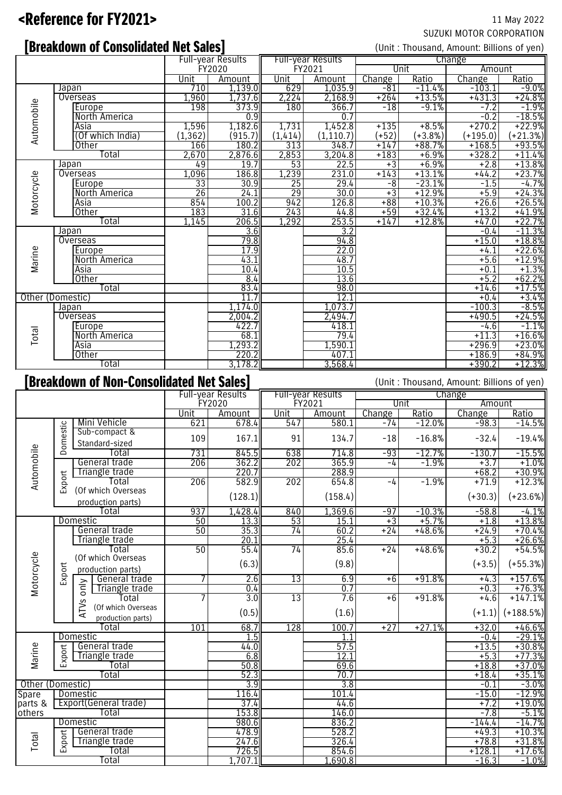# <Reference for FY2021> 11 May 2022

# SUZUKI MOTOR CORPORATION

# **Experiment Consolidated Net Sales Experiment Consolidated Net Sales (Unit: Thousand, Amount: Billions of yen)**

|            |                                                                                        |                 | Full-year Results |                 | Full-year Results | Change  |            |            |                      |  |  |
|------------|----------------------------------------------------------------------------------------|-----------------|-------------------|-----------------|-------------------|---------|------------|------------|----------------------|--|--|
|            |                                                                                        | FY2020          |                   |                 | FY2021            |         | Unit       | Amount     |                      |  |  |
|            |                                                                                        | Unit            | Amount            | Unit            | <b>Amount</b>     | Change  | Ratio      | Change     | Ratio                |  |  |
|            | <b>Japan</b>                                                                           | 710             | 1,139.0           | 629             | 1,035.9           | $-81$   | $-11.4%$   | $-103.1$   | $-9.0%$              |  |  |
|            | Overseas                                                                               | 1,960           | 1,737.6           | 2,224           | 2,168.9           | $+264$  | $+13.5%$   | $+431.3$   | $+24.8%$             |  |  |
|            | Europe                                                                                 | 198             | 373.9             | 180             | 366.7             | $-18$   | $-9.1%$    | $-7.2$     | $-1.9%$              |  |  |
|            | <b>North America</b>                                                                   |                 | 0.9               |                 | 0.7               |         |            | $-0.2$     | $-18.5%$<br>+22.9%   |  |  |
|            | Asia                                                                                   | 1,596           | 1,182.6           | 1,731           | 1,452.8           | $+135$  | $+8.5%$    | $+270.2$   |                      |  |  |
| Automobile | (Of which India)                                                                       | (1, 362)        | (915.7)           | (1, 414)        | (1, 110.7)        | $(+52)$ | $(+3.8\%)$ | $(+195.0)$ | $(+21.3%)$           |  |  |
|            | <b>Other</b>                                                                           | 166             | 180.2             | 313             | 348.7             | $+147$  | $+88.7%$   | $+168.5$   | $+93.5%$             |  |  |
|            | Total                                                                                  | 2,670           | 2,876.6           | 2,853           | 3,204.8           | $+183$  | $+6.9%$    | $+328.2$   | $+11.4%$             |  |  |
|            | Japan                                                                                  | 49              | 19.7              | 53              | 22.5              | $+3$    | $+6.9%$    | $+2.8$     | $+13.8%$             |  |  |
|            | Overseas                                                                               | 1,096           | 186.8             | 1,239           | 231.0             | $+143$  | $+13.1%$   | $+44.2$    | $+23.7%$             |  |  |
| Motorcycle | Europe                                                                                 | 33              | 30.9              | 25              | 29.4              | -8      | $-23.1%$   | $-1.5$     | $-4.7%$              |  |  |
|            | North America                                                                          | $\overline{26}$ | 24.1              | $\overline{29}$ | 30.0              | $+3$    | $+12.9%$   | $+5.9$     |                      |  |  |
|            | Asia                                                                                   | 854             | 100.2             | 942             | 126.8             | $+88$   | $+10.3%$   | $+26.6$    | $+24.3%$<br>+26.5%   |  |  |
|            | Other                                                                                  | 183             | 31.6              | 243             | 44.8              | $+59$   | $+32.4%$   | $+13.2$    | $+41.9%$             |  |  |
|            | Total                                                                                  | 1,145           | 206.5             | 1,292           | 253.5             | $+147$  | $+12.8%$   | $+47.0$    | $+22.7%$             |  |  |
|            | Japan                                                                                  |                 | 3.6               |                 | 3.2               |         |            | $-0.4$     | $-11.3%$             |  |  |
|            | Overseas                                                                               |                 | 79.8              |                 | 94.8              |         |            | $+15.0$    | $+18.8%$             |  |  |
| Marine     | Europe                                                                                 |                 | 17.9              |                 | 22.0              |         |            | $+4.1$     | $+22.6%$             |  |  |
|            | North America                                                                          |                 | 43.1              |                 | 48.7              |         |            | $+5.6$     | $+12.9%$             |  |  |
|            | Asia                                                                                   |                 | 10.4              |                 | 10.5              |         |            | $+0.1$     | $+1.3%$              |  |  |
|            | Other                                                                                  |                 | 8.4               |                 | 13.6              |         |            | $+5.2$     | $+62.2%$<br>$+17.5%$ |  |  |
|            | Total                                                                                  |                 | 83.4              |                 | 98.0              |         |            | $+14.6$    |                      |  |  |
|            | Other (Domestic)                                                                       |                 | 11.7              |                 | 12.1              |         |            | $+0.4$     | $+3.4%$              |  |  |
|            | Japan                                                                                  |                 | 1,174.0           |                 | 1,073.7           |         |            | $-100.3$   | $-8.5%$              |  |  |
|            | Overseas                                                                               |                 | 2,004.2           |                 | 2,494.7           |         |            | $+490.5$   | $+24.5%$             |  |  |
|            | Europe                                                                                 |                 | 422.7             |                 | 418.1             |         |            | -4.6       | $-1.1%$              |  |  |
| Total      | <b>North America</b>                                                                   |                 | 68.1              |                 | 79.4              |         |            | $+11.3$    |                      |  |  |
|            | Asia                                                                                   |                 | 1,293.2           |                 | 1,590.1           |         |            | $+296.9$   | $+16.6%$<br>+23.0%   |  |  |
|            | <b>Other</b>                                                                           |                 | 220.2             |                 | 407.1             |         |            | $+186.9$   | $+84.9%$             |  |  |
|            | Total                                                                                  |                 | 3,178.2           |                 | 3.568.4           |         |            | $+390.2$   | $+12.3%$             |  |  |
|            | [Breakdown of Non-Consolidated Net Sales]<br>(Unit: Thousand, Amount: Billions of yen) |                 |                   |                 |                   |         |            |            |                      |  |  |

|                  |          | Full-year Results                              |        | Full-year Results |        | Change  |        |          |           |             |
|------------------|----------|------------------------------------------------|--------|-------------------|--------|---------|--------|----------|-----------|-------------|
|                  |          |                                                | FY2020 |                   | FY2021 |         | Unit   |          | Amount    |             |
|                  |          |                                                | Unit   | Amount            | Unit   | Amount  | Change | Ratio    | Change    | Ratio       |
|                  |          | Mini Vehicle                                   | 621    | 678.4             | 547    | 580.1   | $-74$  | $-12.0%$ | $-98.3$   | $-14.5%$    |
|                  | Domestic | Sub-compact &<br>Standard-sized                | 109    | 167.1             | 91     | 134.7   | $-18$  | $-16.8%$ | $-32.4$   | $-19.4%$    |
|                  |          | Total                                          | 731    | 845.5             | 638    | 714.8   | $-93$  | $-12.7%$ | $-130.7$  | $-15.5%$    |
|                  |          | General trade                                  | 206    | 362.2             | 202    | 365.9   | $-4$   | $-1.9%$  | $+3.7$    | $+1.0%$     |
|                  |          | Triangle trade                                 |        | 220.7             |        | 288.9   |        |          | $+68.2$   | $+30.9%$    |
| Automobile       | Export   | Total                                          | 206    | 582.9             | 202    | 654.8   | $-4$   | $-1.9%$  | $+71.9$   | $+12.3%$    |
|                  |          | (Of which Overseas<br>production parts)        |        | (128.1)           |        | (158.4) |        |          | $(+30.3)$ | $(+23.6%)$  |
|                  |          | Total                                          | 937    | 1,428.4           | 840    | 1,369.6 | $-97$  | $-10.3%$ | $-58.8$   | $-4.1%$     |
|                  |          | Domestic                                       | 50     | 13.3              | 53     | 15.1    | $+3$   | $+5.7%$  | $+1.8$    | $+13.8%$    |
|                  |          | General trade                                  | 50     | 35.3              | 74     | 60.2    | $+24$  | $+48.6%$ | $+24.9$   | $+70.4%$    |
|                  |          | Triangle trade                                 |        | 20.1              |        | 25.4    |        |          | $+5.3$    | $+26.6%$    |
|                  |          | Total                                          | 50     | 55.4              | 74     | 85.6    | $+24$  | $+48.6%$ | $+30.2$   | $+54.5%$    |
| Motorcycle       |          | (Of which Overseas<br>production parts)        |        | (6.3)             |        | (9.8)   |        |          | $(+3.5)$  | $(+55.3%)$  |
|                  | Export   | General trade                                  | 7      | 2.6               | 13     | 6.9     | $+6$   | $+91.8%$ | $+4.3$    | $+157.6%$   |
|                  |          | only<br>Triangle trade                         |        | 0.4               |        | 0.7     |        |          | $+0.3$    | $+76.3%$    |
|                  |          | Total                                          | 7      | 3.0               | 13     | 7.6     | $+6$   | $+91.8%$ | $+4.6$    | $+147.1%$   |
|                  |          | TVS<br>(Of which Overseas<br>production parts) |        | (0.5)             |        | (1.6)   |        |          | $(+1.1)$  | $(+188.5%)$ |
|                  | Total    |                                                | 101    | 68.7              | 128    | 100.7   | $+27$  | $+27.1%$ | $+32.0$   | $+46.6%$    |
|                  |          | Domestic                                       |        | 1.5               |        |         |        |          | $-0.4$    | $-29.1%$    |
|                  |          | General trade                                  |        | 44.0              |        | 57.5    |        |          | $+13.5$   | $+30.8%$    |
| Marine           | Export   | Triangle trade                                 |        | 6.8               |        | 12.1    |        |          | $+5.3$    | $+77.3%$    |
|                  |          | Total                                          |        | 50.8              |        | 69.6    |        |          | $+18.8$   | $+37.0%$    |
|                  |          | Total                                          |        | 52.3              |        | 70.7    |        |          | $+18.4$   | $+35.1%$    |
| Other (Domestic) |          |                                                |        | 3.9               |        | 3.8     |        |          | $-0.1$    | $-3.0%$     |
| Spare            |          | Domestic                                       |        | 116.4             |        | 101.4   |        |          | $-15.0$   | $-12.9%$    |
| parts &          |          | <b>Export(General trade)</b>                   |        | 37.4              |        | 44.6    |        |          | $+7.2$    | $+19.0%$    |
| others           |          | Total                                          |        | 153.8             |        | 146.0   |        |          | $-7.8$    | $-5.1%$     |
|                  |          | Domestic                                       |        | 980.6             |        | 836.2   |        |          | $-144.4$  | $-14.7%$    |
|                  |          | General trade                                  |        | 478.9             |        | 528.2   |        |          | $+49.3$   | $+10.3%$    |
| Total            | Export   | Triangle trade                                 |        | 247.6             |        | 326.4   |        |          | $+78.8$   | $+31.8%$    |
|                  |          | Total                                          |        | 726.5             |        | 854.6   |        |          | $+128.1$  | $+17.6%$    |
|                  |          | Total                                          |        | 1,707.1           |        | 1.690.8 |        |          | $-16.3$   | $-1.0%$     |